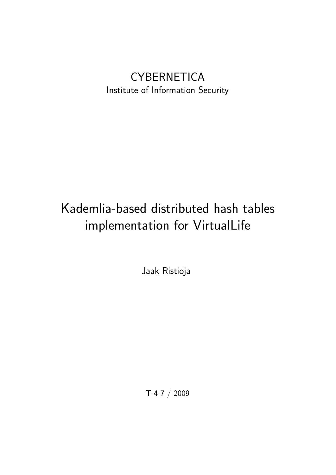## **CYBERNETICA** Institute of Information Security

# Kademlia-based distributed hash tables implementation for VirtualLife

Jaak Ristioja

T-4-7 / 2009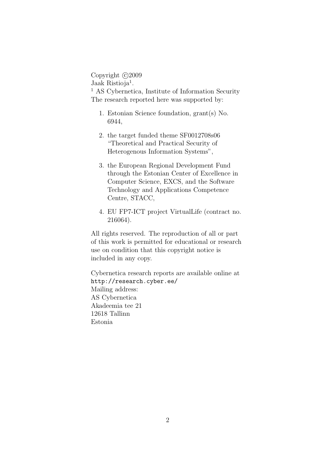Copyright  $\odot$ 2009 Jaak Ristioja<sup>1</sup>. <sup>1</sup> AS Cybernetica, Institute of Information Security The research reported here was supported by:

- 1. Estonian Science foundation, grant(s) No. 6944,
- 2. the target funded theme SF0012708s06 "Theoretical and Practical Security of Heterogenous Information Systems",
- 3. the European Regional Development Fund through the Estonian Center of Excellence in Computer Science, EXCS, and the Software Technology and Applications Competence Centre, STACC,
- 4. EU FP7-ICT project VirtualLife (contract no. 216064).

All rights reserved. The reproduction of all or part of this work is permitted for educational or research use on condition that this copyright notice is included in any copy.

Cybernetica research reports are available online at http://research.cyber.ee/ Mailing address: AS Cybernetica Akadeemia tee 21 12618 Tallinn Estonia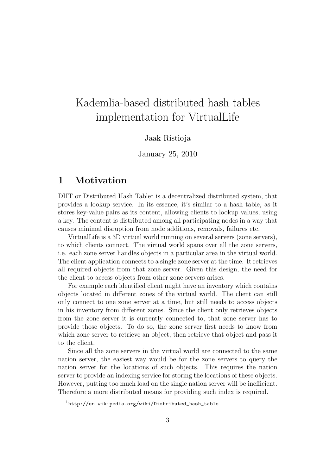## Kademlia-based distributed hash tables implementation for VirtualLife

#### Jaak Ristioja

#### January 25, 2010

### 1 Motivation

DHT or Distributed Hash Table<sup>1</sup> is a decentralized distributed system, that provides a lookup service. In its essence, it's similar to a hash table, as it stores key-value pairs as its content, allowing clients to lookup values, using a key. The content is distributed among all participating nodes in a way that causes minimal disruption from node additions, removals, failures etc.

VirtualLife is a 3D virtual world running on several servers (zone servers), to which clients connect. The virtual world spans over all the zone servers, i.e. each zone server handles objects in a particular area in the virtual world. The client application connects to a single zone server at the time. It retrieves all required objects from that zone server. Given this design, the need for the client to access objects from other zone servers arises.

For example each identified client might have an inventory which contains objects located in different zones of the virtual world. The client can still only connect to one zone server at a time, but still needs to access objects in his inventory from different zones. Since the client only retrieves objects from the zone server it is currently connected to, that zone server has to provide those objects. To do so, the zone server first needs to know from which zone server to retrieve an object, then retrieve that object and pass it to the client.

Since all the zone servers in the virtual world are connected to the same nation server, the easiest way would be for the zone servers to query the nation server for the locations of such objects. This requires the nation server to provide an indexing service for storing the locations of these objects. However, putting too much load on the single nation server will be inefficient. Therefore a more distributed means for providing such index is required.

<sup>1</sup>http://en.wikipedia.org/wiki/Distributed\_hash\_table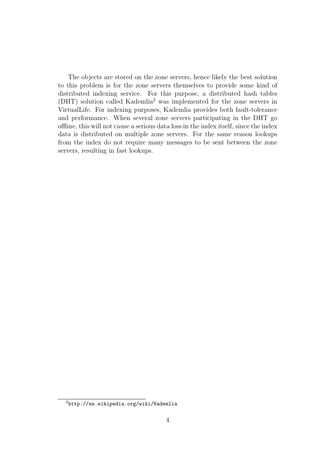The objects are stored on the zone servers, hence likely the best solution to this problem is for the zone servers themselves to provide some kind of distributed indexing service. For this purpose, a distributed hash tables (DHT) solution called Kademlia<sup>2</sup> was implemented for the zone servers in VirtualLife. For indexing purposes, Kademlia provides both fault-tolerance and performance. When several zone servers participating in the DHT go offline, this will not cause a serious data loss in the index itself, since the index data is distributed on multiple zone servers. For the same reason lookups from the index do not require many messages to be sent between the zone servers, resulting in fast lookups.

 $^{2}$ http://en.wikipedia.org/wiki/Kademlia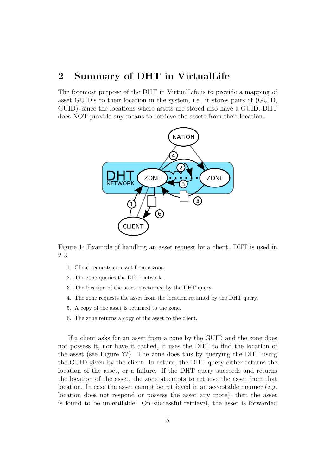### 2 Summary of DHT in VirtualLife

The foremost purpose of the DHT in VirtualLife is to provide a mapping of asset GUID's to their location in the system, i.e. it stores pairs of (GUID, GUID), since the locations where assets are stored also have a GUID. DHT does NOT provide any means to retrieve the assets from their location.



Figure 1: Example of handling an asset request by a client. DHT is used in 2-3.

- 1. Client requests an asset from a zone.
- 2. The zone queries the DHT network.
- 3. The location of the asset is returned by the DHT query.
- 4. The zone requests the asset from the location returned by the DHT query.
- 5. A copy of the asset is returned to the zone.
- 6. The zone returns a copy of the asset to the client.

If a client asks for an asset from a zone by the GUID and the zone does not possess it, nor have it cached, it uses the DHT to find the location of the asset (see Figure ??). The zone does this by querying the DHT using the GUID given by the client. In return, the DHT query either returns the location of the asset, or a failure. If the DHT query succeeds and returns the location of the asset, the zone attempts to retrieve the asset from that location. In case the asset cannot be retrieved in an acceptable manner (e.g. location does not respond or possess the asset any more), then the asset is found to be unavailable. On successful retrieval, the asset is forwarded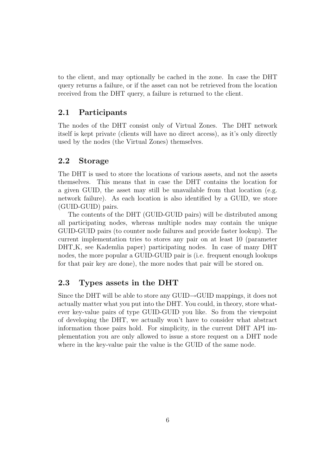to the client, and may optionally be cached in the zone. In case the DHT query returns a failure, or if the asset can not be retrieved from the location received from the DHT query, a failure is returned to the client.

#### 2.1 Participants

The nodes of the DHT consist only of Virtual Zones. The DHT network itself is kept private (clients will have no direct access), as it's only directly used by the nodes (the Virtual Zones) themselves.

#### 2.2 Storage

The DHT is used to store the locations of various assets, and not the assets themselves. This means that in case the DHT contains the location for a given GUID, the asset may still be unavailable from that location (e.g. network failure). As each location is also identified by a GUID, we store (GUID-GUID) pairs.

The contents of the DHT (GUID-GUID pairs) will be distributed among all participating nodes, whereas multiple nodes may contain the unique GUID-GUID pairs (to counter node failures and provide faster lookup). The current implementation tries to stores any pair on at least 10 (parameter DHT K, see Kademlia paper) participating nodes. In case of many DHT nodes, the more popular a GUID-GUID pair is (i.e. frequent enough lookups for that pair key are done), the more nodes that pair will be stored on.

#### 2.3 Types assets in the DHT

Since the DHT will be able to store any  $GUID \rightarrow GUID$  mappings, it does not actually matter what you put into the DHT. You could, in theory, store whatever key-value pairs of type GUID-GUID you like. So from the viewpoint of developing the DHT, we actually won't have to consider what abstract information those pairs hold. For simplicity, in the current DHT API implementation you are only allowed to issue a store request on a DHT node where in the key-value pair the value is the GUID of the same node.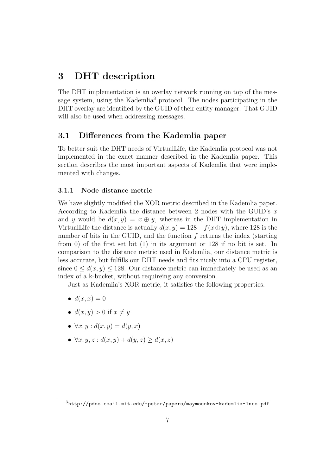## 3 DHT description

The DHT implementation is an overlay network running on top of the message system, using the Kademlia<sup>3</sup> protocol. The nodes participating in the DHT overlay are identified by the GUID of their entity manager. That GUID will also be used when addressing messages.

#### 3.1 Differences from the Kademlia paper

To better suit the DHT needs of VirtualLife, the Kademlia protocol was not implemented in the exact manner described in the Kademlia paper. This section describes the most important aspects of Kademlia that were implemented with changes.

#### 3.1.1 Node distance metric

We have slightly modified the XOR metric described in the Kademlia paper. According to Kademlia the distance between 2 nodes with the GUID's x and y would be  $d(x, y) = x \oplus y$ , whereas in the DHT implementation in VirtualLife the distance is actually  $d(x, y) = 128 - f(x \oplus y)$ , where 128 is the number of bits in the GUID, and the function  $f$  returns the index (starting from 0) of the first set bit (1) in its argument or 128 if no bit is set. In comparison to the distance metric used in Kademlia, our distance metric is less accurate, but fulfills our DHT needs and fits nicely into a CPU register, since  $0 \leq d(x, y) \leq 128$ . Our distance metric can immediately be used as an index of a k-bucket, without requireing any conversion.

Just as Kademlia's XOR metric, it satisfies the following properties:

- $\bullet$   $d(x, x) = 0$
- $d(x, y) > 0$  if  $x \neq y$
- $\forall x, y : d(x, y) = d(y, x)$
- $\forall x, y, z : d(x, y) + d(y, z) \geq d(x, z)$

<sup>3</sup>http://pdos.csail.mit.edu/~petar/papers/maymounkov-kademlia-lncs.pdf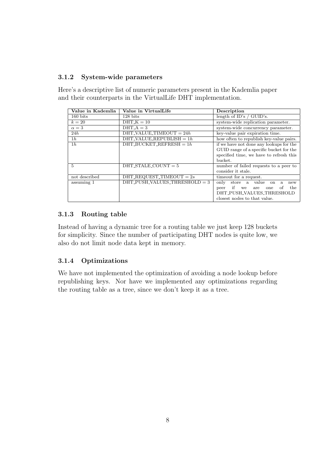#### 3.1.2 System-wide parameters

Here's a descriptive list of numeric parameters present in the Kademlia paper and their counterparts in the VirtualLife DHT implementation.

| Value in Kademlia | Value in VirtualLife                             | Description                                         |
|-------------------|--------------------------------------------------|-----------------------------------------------------|
| 160 bits          | $128$ bits                                       | length of $ID's / GUID's$ .                         |
| $k=20$            | $DHT_K = 10$                                     | system-wide replication parameter.                  |
| $\alpha=3$        | $DHT_A = 3$                                      | system-wide concurrency parameter.                  |
| 24h               | $DHT_VALUE_TIMEOUT = 24h$                        | key-value pair expiration time.                     |
| 1h                | DHT_VALUE_REPUBLISH = $1h$                       | how often to republish key-value pairs.             |
| 1h                | DHT_BUCKET_REFRESH = $1h$                        | if we have not done any lookups for the             |
|                   |                                                  | GUID range of a specific bucket for the             |
|                   |                                                  | specified time, we have to refresh this             |
|                   |                                                  | bucket.                                             |
| 5                 | $DHT\_STALE\_COUNT = 5$                          | number of failed requests to a peer to              |
|                   |                                                  | consider it stale.                                  |
| not described     | $DHT$ <sub>REQUEST</sub> <sup>TIMEOUT</sup> = 2s | timeout for a request.                              |
| assuming 1        | $DHT_PUSH_VALUES_THRESHOLD = 3$                  | store a value<br>only<br><sub>on</sub><br>a.<br>new |
|                   |                                                  | if<br>the<br>of<br>we<br>peer<br>are<br>one         |
|                   |                                                  | DHT_PUSH_VALUES_THRESHOLD                           |
|                   |                                                  | closest nodes to that value.                        |

#### 3.1.3 Routing table

Instead of having a dynamic tree for a routing table we just keep 128 buckets for simplicity. Since the number of participating DHT nodes is quite low, we also do not limit node data kept in memory.

#### 3.1.4 Optimizations

We have not implemented the optimization of avoiding a node lookup before republishing keys. Nor have we implemented any optimizations regarding the routing table as a tree, since we don't keep it as a tree.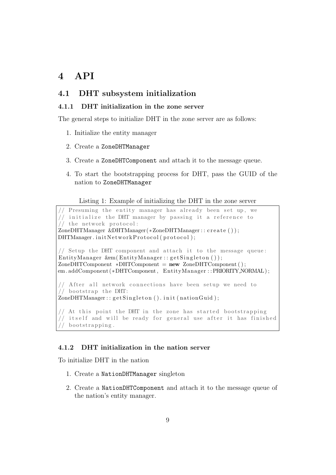## 4 API

#### 4.1 DHT subsystem initialization

#### 4.1.1 DHT initialization in the zone server

The general steps to initialize DHT in the zone server are as follows:

- 1. Initialize the entity manager
- 2. Create a ZoneDHTManager
- 3. Create a ZoneDHTComponent and attach it to the message queue.
- 4. To start the bootstrapping process for DHT, pass the GUID of the nation to ZoneDHTManager
	- Listing 1: Example of initializing the DHT in the zone server

// Presuming the entity manager has already been set up, we // initialize the DHT manager by passing it a reference to // the network protocol: ZoneDHTManager &DHTManager (∗ZoneDHTManager : : c r e a t e ( ) ) ;  $DHTManager. init Network Protocol (protocol);$ // Setup the DHT component and attach it to the message queue:  $\text{EntityManager}$  &em(EntityManager:: getSingleton());  $\text{Zone} \text{DHTComponent}$  \* $\text{DHTComponent}$  = new  $\text{Zone} \text{DHTComponent}$  (); em. addComponent (∗DHTComponent , EntityManager : : PRIORITY NORMAL ) ; // After all network connections have been setup we need to  $//$  bootstrap the DHT:  $\text{ZoneDHTManager} :: get \text{Singleton}() \text{. init} ( \text{national});$ // At this point the DHT in the zone has started bootstrapping // itself and will be ready for general use after it has finished

#### $//$  bootstrapping.

#### 4.1.2 DHT initialization in the nation server

To initialize DHT in the nation

- 1. Create a NationDHTManager singleton
- 2. Create a NationDHTComponent and attach it to the message queue of the nation's entity manager.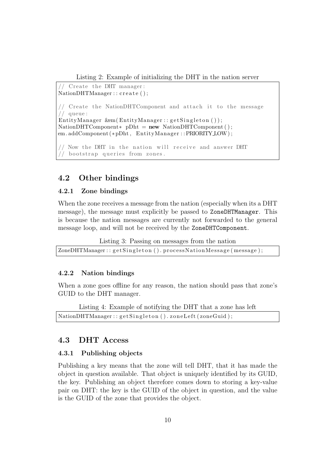Listing 2: Example of initializing the DHT in the nation server

Create the DHT manager:  $NationalHTML$  : :  $create()$ ; // Create the NationDHTComponent and attach it to the message // queue :  $EntityManager \; \&em(EntityManager::getSingleton())$ ;  $NationalHTComponent* pDht = new NationDHTComponent()$ ; em. addComponent (∗pDht , EntityManager : : PRIORITY LOW ) ;  $\frac{1}{2}$  Now the DHT in the nation will receive and answer DHT

#### 4.2 Other bindings

 $//$  bootstrap queries from zones.

#### 4.2.1 Zone bindings

When the zone receives a message from the nation (especially when its a DHT message), the message must explicitly be passed to ZoneDHTManager. This is because the nation messages are currently not forwarded to the general message loop, and will not be received by the ZoneDHTComponent.

Listing 3: Passing on messages from the nation

 $\text{ZoneDHTManager}$ :  $\text{getSingleton}()$ . processNationMessage (message);

#### 4.2.2 Nation bindings

When a zone goes offline for any reason, the nation should pass that zone's GUID to the DHT manager.

Listing 4: Example of notifying the DHT that a zone has left NationDHTManager :: getSingleton (). zoneLeft (zoneGuid);

#### 4.3 DHT Access

#### 4.3.1 Publishing objects

Publishing a key means that the zone will tell DHT, that it has made the object in question available. That object is uniquely identified by its GUID, the key. Publishing an object therefore comes down to storing a key-value pair on DHT: the key is the GUID of the object in question, and the value is the GUID of the zone that provides the object.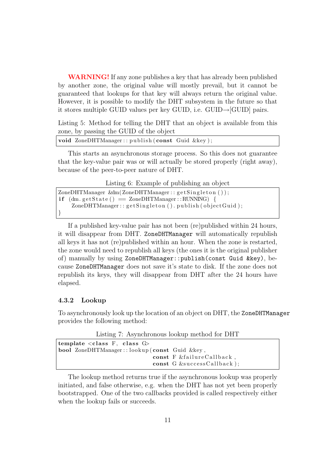WARNING! If any zone publishes a key that has already been published by another zone, the original value will mostly prevail, but it cannot be guaranteed that lookups for that key will always return the original value. However, it is possible to modify the DHT subsystem in the future so that it stores multiple GUID values per key GUID, i.e. GUID→[GUID] pairs.

Listing 5: Method for telling the DHT that an object is available from this zone, by passing the GUID of the object

```
void ZoneDHTManager :: publish (const Guid &key);
```
This starts an asynchronous storage process. So this does not guarantee that the key-value pair was or will actually be stored properly (right away), because of the peer-to-peer nature of DHT.

Listing 6: Example of publishing an object

 $\text{ZoneDHTManager } \& \text{dm}(\text{ZoneDHTManager}:: \text{getSingleton}());$  $if$  (dm. get State () = ZoneDHTManager :: RUNNING) {  $\text{ZoneDHTManager}::\text{getSingleton}()$ . publish (object Guid); }

If a published key-value pair has not been (re)published within 24 hours, it will disappear from DHT. ZoneDHTManager will automatically republish all keys it has not (re)published within an hour. When the zone is restarted, the zone would need to republish all keys (the ones it is the original publisher of) manually by using ZoneDHTManager::publish(const Guid &key), because ZoneDHTManager does not save it's state to disk. If the zone does not republish its keys, they will disappear from DHT after the 24 hours have elapsed.

#### 4.3.2 Lookup

To asynchronously look up the location of an object on DHT, the ZoneDHTManager provides the following method:

Listing 7: Asynchronous lookup method for DHT

| template $\langle \text{class } F, \text{ class } G \rangle$ |                            |  |  |
|--------------------------------------------------------------|----------------------------|--|--|
| <b>bool</b> ZoneDHTManager::lookup(const Guid &key,          |                            |  |  |
|                                                              | const F &failureCallback,  |  |  |
|                                                              | const G &successCallback); |  |  |

The lookup method returns true if the asynchronous lookup was properly initiated, and false otherwise, e.g. when the DHT has not yet been properly bootstrapped. One of the two callbacks provided is called respectively either when the lookup fails or succeeds.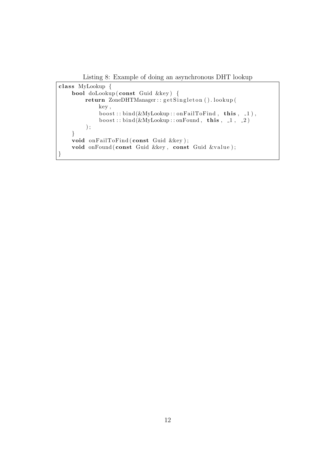Listing 8: Example of doing an asynchronous DHT lookup

```
class MyLookup {
    bool doLookup ( const Guid &key ) {
        return ZoneDHTManager:: getSingleton().lookup(
             key ,
             \overline{b} boost :: bind (&MyLookup:: onFailToFind, this, 1),
             boost::bind(& MyLookup::onFound, this, 1, 2)) ;
    }
    void onFailToFind (const Guid &key);
    void onFound ( const Guid &key, const Guid &value );
}
```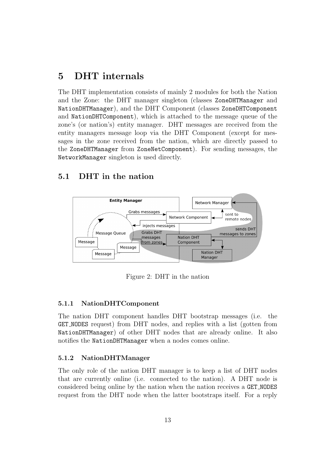## 5 DHT internals

The DHT implementation consists of mainly 2 modules for both the Nation and the Zone: the DHT manager singleton (classes ZoneDHTManager and NationDHTManager), and the DHT Component (classes ZoneDHTComponent and NationDHTComponent), which is attached to the message queue of the zone's (or nation's) entity manager. DHT messages are received from the entity managers message loop via the DHT Component (except for messages in the zone received from the nation, which are directly passed to the ZoneDHTManager from ZoneNetComponent). For sending messages, the NetworkManager singleton is used directly.

#### 5.1 DHT in the nation



Figure 2: DHT in the nation

#### 5.1.1 NationDHTComponent

The nation DHT component handles DHT bootstrap messages (i.e. the GET NODES request) from DHT nodes, and replies with a list (gotten from NationDHTManager) of other DHT nodes that are already online. It also notifies the NationDHTManager when a nodes comes online.

#### 5.1.2 NationDHTManager

The only role of the nation DHT manager is to keep a list of DHT nodes that are currently online (i.e. connected to the nation). A DHT node is considered being online by the nation when the nation receives a GET NODES request from the DHT node when the latter bootstraps itself. For a reply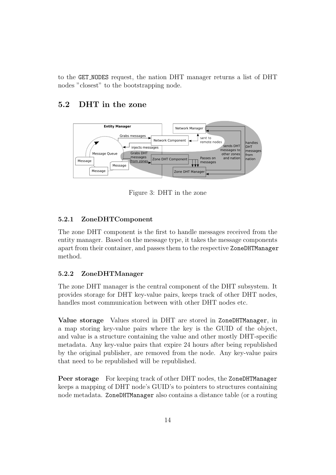to the GET NODES request, the nation DHT manager returns a list of DHT nodes "closest" to the bootstrapping node.

#### 5.2 DHT in the zone



Figure 3: DHT in the zone

#### 5.2.1 ZoneDHTComponent

The zone DHT component is the first to handle messages received from the entity manager. Based on the message type, it takes the message components apart from their container, and passes them to the respective ZoneDHTManager method.

#### 5.2.2 ZoneDHTManager

The zone DHT manager is the central component of the DHT subsystem. It provides storage for DHT key-value pairs, keeps track of other DHT nodes, handles most communication between with other DHT nodes etc.

Value storage Values stored in DHT are stored in ZoneDHTManager, in a map storing key-value pairs where the key is the GUID of the object, and value is a structure containing the value and other mostly DHT-specific metadata. Any key-value pairs that expire 24 hours after being republished by the original publisher, are removed from the node. Any key-value pairs that need to be republished will be republished.

Peer storage For keeping track of other DHT nodes, the ZoneDHTManager keeps a mapping of DHT node's GUID's to pointers to structures containing node metadata. ZoneDHTManager also contains a distance table (or a routing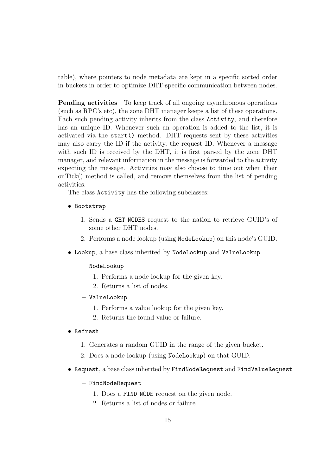table), where pointers to node metadata are kept in a specific sorted order in buckets in order to optimize DHT-specific communication between nodes.

Pending activities To keep track of all ongoing asynchronous operations (such as RPC's etc), the zone DHT manager keeps a list of these operations. Each such pending activity inherits from the class Activity, and therefore has an unique ID. Whenever such an operation is added to the list, it is activated via the start() method. DHT requests sent by these activities may also carry the ID if the activity, the request ID. Whenever a message with such ID is received by the DHT, it is first parsed by the zone DHT manager, and relevant information in the message is forwarded to the activity expecting the message. Activities may also choose to time out when their onTick() method is called, and remove themselves from the list of pending activities.

The class Activity has the following subclasses:

- Bootstrap
	- 1. Sends a GET NODES request to the nation to retrieve GUID's of some other DHT nodes.
	- 2. Performs a node lookup (using NodeLookup) on this node's GUID.
- Lookup, a base class inherited by NodeLookup and ValueLookup
	- NodeLookup
		- 1. Performs a node lookup for the given key.
		- 2. Returns a list of nodes.
	- ValueLookup
		- 1. Performs a value lookup for the given key.
		- 2. Returns the found value or failure.
- Refresh
	- 1. Generates a random GUID in the range of the given bucket.
	- 2. Does a node lookup (using NodeLookup) on that GUID.
- Request, a base class inherited by FindNodeRequest and FindValueRequest
	- FindNodeRequest
		- 1. Does a FIND NODE request on the given node.
		- 2. Returns a list of nodes or failure.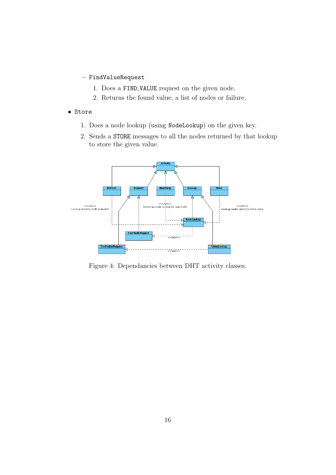- FindValueRequest
	- 1. Does a FIND VALUE request on the given node.
	- 2. Returns the found value, a list of nodes or failure.
- Store
	- 1. Does a node lookup (using NodeLookup) on the given key.
	- 2. Sends a STORE messages to all the nodes returned by that lookup to store the given value.



Figure 4: Dependancies between DHT activity classes.